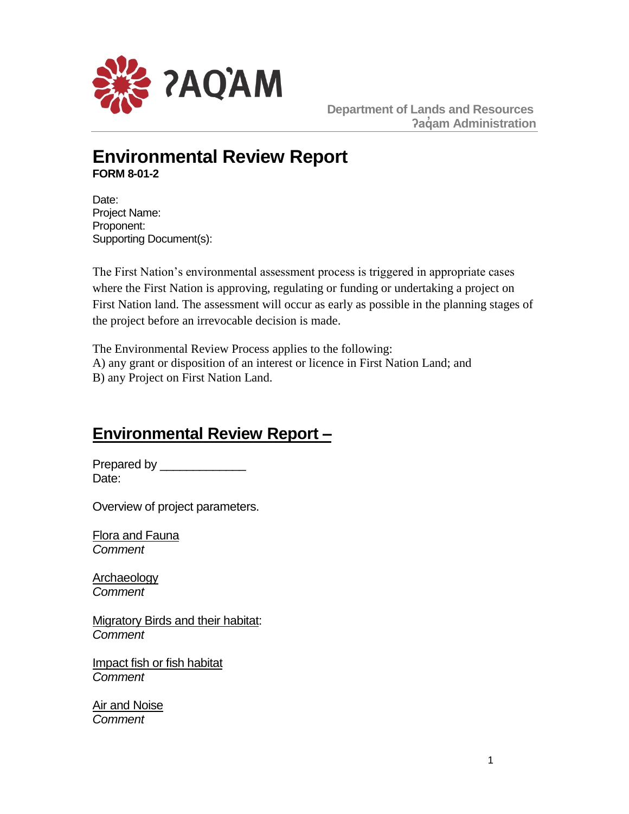

 **Department of Lands and Resources ʔaq̓ am Administration**

# **Environmental Review Report FORM 8-01-2**

Date: Project Name: Proponent: Supporting Document(s):

The First Nation's environmental assessment process is triggered in appropriate cases where the First Nation is approving, regulating or funding or undertaking a project on First Nation land. The assessment will occur as early as possible in the planning stages of the project before an irrevocable decision is made.

The Environmental Review Process applies to the following: A) any grant or disposition of an interest or licence in First Nation Land; and B) any Project on First Nation Land.

# **Environmental Review Report –**

Prepared by Date:

Overview of project parameters.

Flora and Fauna *Comment* 

**Archaeology** *Comment* 

Migratory Birds and their habitat: *Comment* 

Impact fish or fish habitat *Comment* 

Air and Noise *Comment*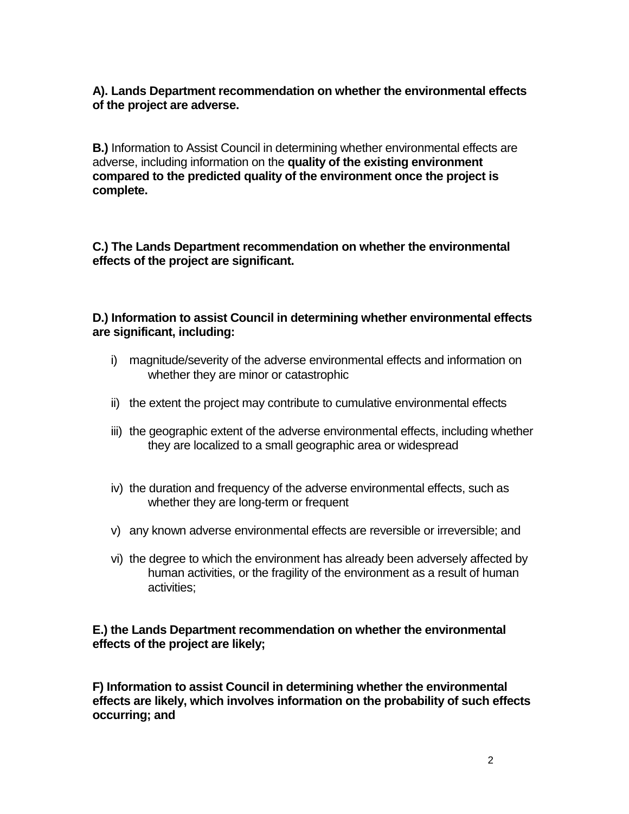**A). Lands Department recommendation on whether the environmental effects of the project are adverse.**

**B.)** Information to Assist Council in determining whether environmental effects are adverse, including information on the **quality of the existing environment compared to the predicted quality of the environment once the project is complete.** 

**C.) The Lands Department recommendation on whether the environmental effects of the project are significant.**

## **D.) Information to assist Council in determining whether environmental effects are significant, including:**

- i) magnitude/severity of the adverse environmental effects and information on whether they are minor or catastrophic
- ii) the extent the project may contribute to cumulative environmental effects
- iii) the geographic extent of the adverse environmental effects, including whether they are localized to a small geographic area or widespread
- iv) the duration and frequency of the adverse environmental effects, such as whether they are long-term or frequent
- v) any known adverse environmental effects are reversible or irreversible; and
- vi) the degree to which the environment has already been adversely affected by human activities, or the fragility of the environment as a result of human activities;

### **E.) the Lands Department recommendation on whether the environmental effects of the project are likely;**

**F) Information to assist Council in determining whether the environmental effects are likely, which involves information on the probability of such effects occurring; and**